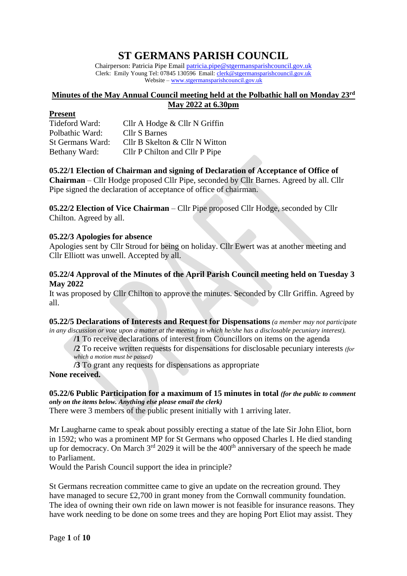# **ST GERMANS PARISH COUNCIL**

Chairperson: Patricia Pipe Email [patricia.pipe@stgermansparishcouncil.gov.uk](mailto:patricia.pipe@stgermansparishcouncil.gov.uk) Clerk: Emily Young Tel: 07845 130596 Email: [clerk@stgermansparishcouncil.gov.uk](mailto:clerk@stgermansparishcouncil.gov.uk) Website – [www.stgermansparishcouncil.gov.uk](http://www.stgermans-pc.org.uk/)

## **Minutes of the May Annual Council meeting held at the Polbathic hall on Monday 23rd May 2022 at 6.30pm**

#### **Present**

| Tideford Ward:   | Cllr A Hodge & Cllr N Griffin  |
|------------------|--------------------------------|
| Polbathic Ward:  | Cllr S Barnes                  |
| St Germans Ward: | Cllr B Skelton & Cllr N Witton |
| Bethany Ward:    | Cllr P Chilton and Cllr P Pipe |

# **05.22/1 Election of Chairman and signing of Declaration of Acceptance of Office of**

**Chairman** – Cllr Hodge proposed Cllr Pipe, seconded by Cllr Barnes. Agreed by all. Cllr Pipe signed the declaration of acceptance of office of chairman.

**05.22/2 Election of Vice Chairman** – Cllr Pipe proposed Cllr Hodge, seconded by Cllr Chilton. Agreed by all.

## **05.22/3 Apologies for absence**

Apologies sent by Cllr Stroud for being on holiday. Cllr Ewert was at another meeting and Cllr Elliott was unwell. Accepted by all.

## **05.22/4 Approval of the Minutes of the April Parish Council meeting held on Tuesday 3 May 2022**

It was proposed by Cllr Chilton to approve the minutes. Seconded by Cllr Griffin. Agreed by all.

**05.22/5 Declarations of Interests and Request for Dispensations** *(a member may not participate in any discussion or vote upon a matter at the meeting in which he/she has a disclosable pecuniary interest).*

**/1** To receive declarations of interest from Councillors on items on the agenda

**/2** To receive written requests for dispensations for disclosable pecuniary interests *(for which a motion must be passed)*

**/3** To grant any requests for dispensations as appropriate **None received.**

# **05.22/6 Public Participation for a maximum of 15 minutes in total** *(for the public to comment only on the items below. Anything else please email the clerk)*

There were 3 members of the public present initially with 1 arriving later.

Mr Laugharne came to speak about possibly erecting a statue of the late Sir John Eliot, born in 1592; who was a prominent MP for St Germans who opposed Charles I. He died standing up for democracy. On March  $3<sup>rd</sup>$  2029 it will be the 400<sup>th</sup> anniversary of the speech he made to Parliament.

Would the Parish Council support the idea in principle?

St Germans recreation committee came to give an update on the recreation ground. They have managed to secure £2,700 in grant money from the Cornwall community foundation. The idea of owning their own ride on lawn mower is not feasible for insurance reasons. They have work needing to be done on some trees and they are hoping Port Eliot may assist. They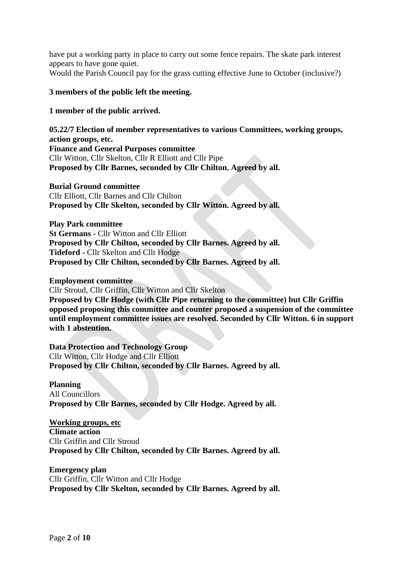have put a working party in place to carry out some fence repairs. The skate park interest appears to have gone quiet.

Would the Parish Council pay for the grass cutting effective June to October (inclusive?)

#### **3 members of the public left the meeting.**

#### **1 member of the public arrived.**

**05.22/7 Election of member representatives to various Committees, working groups, action groups, etc. Finance and General Purposes committee** Cllr Witton, Cllr Skelton, Cllr R Elliott and Cllr Pipe **Proposed by Cllr Barnes, seconded by Cllr Chilton. Agreed by all.**

#### **Burial Ground committee**

Cllr Elliott, Cllr Barnes and Cllr Chilton **Proposed by Cllr Skelton, seconded by Cllr Witton. Agreed by all.**

**Play Park committee St Germans -** Cllr Witton and Cllr Elliott **Proposed by Cllr Chilton, seconded by Cllr Barnes. Agreed by all. Tideford -** Cllr Skelton and Cllr Hodge **Proposed by Cllr Chilton, seconded by Cllr Barnes. Agreed by all.**

#### **Employment committee**

Cllr Stroud, Cllr Griffin, Cllr Witton and Cllr Skelton

**Proposed by Cllr Hodge (with Cllr Pipe returning to the committee) but Cllr Griffin opposed proposing this committee and counter proposed a suspension of the committee until employment committee issues are resolved. Seconded by Cllr Witton. 6 in support with 1 abstention.**

**Data Protection and Technology Group** Cllr Witton, Cllr Hodge and Cllr Elliott **Proposed by Cllr Chilton, seconded by Cllr Barnes. Agreed by all.**

**Planning** All Councillors **Proposed by Cllr Barnes, seconded by Cllr Hodge. Agreed by all.**

**Working groups, etc Climate action** Cllr Griffin and Cllr Stroud **Proposed by Cllr Chilton, seconded by Cllr Barnes. Agreed by all.**

**Emergency plan** Cllr Griffin, Cllr Witton and Cllr Hodge **Proposed by Cllr Skelton, seconded by Cllr Barnes. Agreed by all.**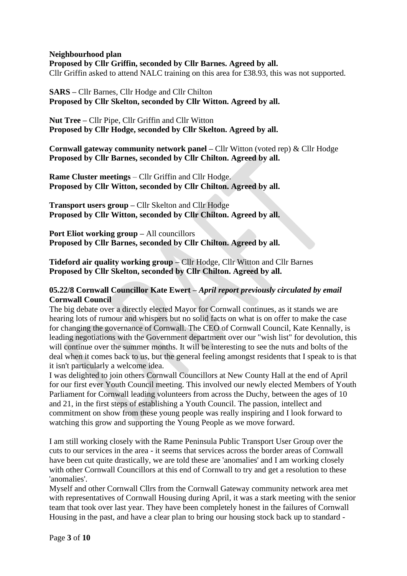#### **Neighbourhood plan**

**Proposed by Cllr Griffin, seconded by Cllr Barnes. Agreed by all.** Cllr Griffin asked to attend NALC training on this area for £38.93, this was not supported.

**SARS –** Cllr Barnes, Cllr Hodge and Cllr Chilton **Proposed by Cllr Skelton, seconded by Cllr Witton. Agreed by all.**

**Nut Tree –** Cllr Pipe, Cllr Griffin and Cllr Witton **Proposed by Cllr Hodge, seconded by Cllr Skelton. Agreed by all.**

**Cornwall gateway community network panel –** Cllr Witton (voted rep) & Cllr Hodge **Proposed by Cllr Barnes, seconded by Cllr Chilton. Agreed by all.**

**Rame Cluster meetings** – Cllr Griffin and Cllr Hodge. **Proposed by Cllr Witton, seconded by Cllr Chilton. Agreed by all.**

**Transport users group –** Cllr Skelton and Cllr Hodge **Proposed by Cllr Witton, seconded by Cllr Chilton. Agreed by all.**

**Port Eliot working group –** All councillors **Proposed by Cllr Barnes, seconded by Cllr Chilton. Agreed by all.**

**Tideford air quality working group –** Cllr Hodge, Cllr Witton and Cllr Barnes **Proposed by Cllr Skelton, seconded by Cllr Chilton. Agreed by all.**

## **05.22/8 Cornwall Councillor Kate Ewert –** *April report previously circulated by email* **Cornwall Council**

The big debate over a directly elected Mayor for Cornwall continues, as it stands we are hearing lots of rumour and whispers but no solid facts on what is on offer to make the case for changing the governance of Cornwall. The CEO of Cornwall Council, Kate Kennally, is leading negotiations with the Government department over our "wish list" for devolution, this will continue over the summer months. It will be interesting to see the nuts and bolts of the deal when it comes back to us, but the general feeling amongst residents that I speak to is that it isn't particularly a welcome idea.

I was delighted to join others Cornwall Councillors at New County Hall at the end of April for our first ever Youth Council meeting. This involved our newly elected Members of Youth Parliament for Cornwall leading volunteers from across the Duchy, between the ages of 10 and 21, in the first steps of establishing a Youth Council. The passion, intellect and commitment on show from these young people was really inspiring and I look forward to watching this grow and supporting the Young People as we move forward.

I am still working closely with the Rame Peninsula Public Transport User Group over the cuts to our services in the area - it seems that services across the border areas of Cornwall have been cut quite drastically, we are told these are 'anomalies' and I am working closely with other Cornwall Councillors at this end of Cornwall to try and get a resolution to these 'anomalies'.

Myself and other Cornwall Cllrs from the Cornwall Gateway community network area met with representatives of Cornwall Housing during April, it was a stark meeting with the senior team that took over last year. They have been completely honest in the failures of Cornwall Housing in the past, and have a clear plan to bring our housing stock back up to standard -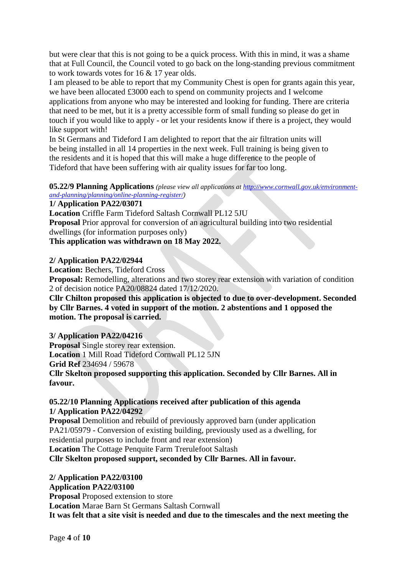but were clear that this is not going to be a quick process. With this in mind, it was a shame that at Full Council, the Council voted to go back on the long-standing previous commitment to work towards votes for 16 & 17 year olds.

I am pleased to be able to report that my Community Chest is open for grants again this year, we have been allocated £3000 each to spend on community projects and I welcome applications from anyone who may be interested and looking for funding. There are criteria that need to be met, but it is a pretty accessible form of small funding so please do get in touch if you would like to apply - or let your residents know if there is a project, they would like support with!

In St Germans and Tideford I am delighted to report that the air filtration units will be being installed in all 14 properties in the next week. Full training is being given to the residents and it is hoped that this will make a huge difference to the people of Tideford that have been suffering with air quality issues for far too long.

**05.22/9 Planning Applications** *(please view all applications a[t http://www.cornwall.gov.uk/environment](http://www.cornwall.gov.uk/environment-and-planning/planning/online-planning-register/)[and-planning/planning/online-planning-register/\)](http://www.cornwall.gov.uk/environment-and-planning/planning/online-planning-register/)*

**1/ Application PA22/03071**

**Location** Criffle Farm Tideford Saltash Cornwall PL12 5JU

**Proposal** Prior approval for conversion of an agricultural building into two residential dwellings (for information purposes only)

**This application was withdrawn on 18 May 2022.**

## **2/ Application PA22/02944**

**Location:** Bechers, Tideford Cross

**Proposal:** Remodelling, alterations and two storey rear extension with variation of condition 2 of decision notice PA20/08824 dated 17/12/2020.

**Cllr Chilton proposed this application is objected to due to over-development. Seconded by Cllr Barnes. 4 voted in support of the motion. 2 abstentions and 1 opposed the motion. The proposal is carried.**

# **3/ Application PA22/04216**

**Proposal** Single storey rear extension. **Location** 1 Mill Road Tideford Cornwall PL12 5JN **Grid Ref** 234694 / 59678

**Cllr Skelton proposed supporting this application. Seconded by Cllr Barnes. All in favour.**

## **05.22/10 Planning Applications received after publication of this agenda 1/ Application PA22/04292**

**Proposal** Demolition and rebuild of previously approved barn (under application PA21/05979 - Conversion of existing building, previously used as a dwelling, for residential purposes to include front and rear extension)

**Location** The Cottage Penquite Farm Trerulefoot Saltash

**Cllr Skelton proposed support, seconded by Cllr Barnes. All in favour.**

**2/ Application PA22/03100 Application PA22/03100 Proposal** Proposed extension to store **Location** Marae Barn St Germans Saltash Cornwall **It was felt that a site visit is needed and due to the timescales and the next meeting the**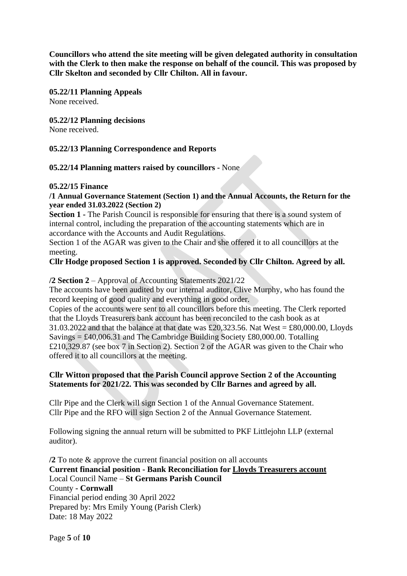**Councillors who attend the site meeting will be given delegated authority in consultation with the Clerk to then make the response on behalf of the council. This was proposed by Cllr Skelton and seconded by Cllr Chilton. All in favour.**

**05.22/11 Planning Appeals** None received.

**05.22/12 Planning decisions** None received.

## **05.22/13 Planning Correspondence and Reports**

**05.22/14 Planning matters raised by councillors -** None

#### **05.22/15 Finance**

**/1 Annual Governance Statement (Section 1) and the Annual Accounts, the Return for the year ended 31.03.2022 (Section 2)** 

**Section 1 -** The Parish Council is responsible for ensuring that there is a sound system of internal control, including the preparation of the accounting statements which are in accordance with the Accounts and Audit Regulations.

Section 1 of the AGAR was given to the Chair and she offered it to all councillors at the meeting.

# **Cllr Hodge proposed Section 1 is approved. Seconded by Cllr Chilton. Agreed by all.**

## **/2 Section 2** – Approval of Accounting Statements 2021/22

The accounts have been audited by our internal auditor, Clive Murphy, who has found the record keeping of good quality and everything in good order.

Copies of the accounts were sent to all councillors before this meeting. The Clerk reported that the Lloyds Treasurers bank account has been reconciled to the cash book as at 31.03.2022 and that the balance at that date was £20,323.56. Nat West = £80,000.00, Lloyds Savings  $= \text{\pounds}40,006.31$  and The Cambridge Building Society  $\text{\pounds}80,000.00$ . Totalling £210,329.87 (see box 7 in Section 2). Section 2 of the AGAR was given to the Chair who offered it to all councillors at the meeting.

# **Cllr Witton proposed that the Parish Council approve Section 2 of the Accounting Statements for 2021/22. This was seconded by Cllr Barnes and agreed by all.**

Cllr Pipe and the Clerk will sign Section 1 of the Annual Governance Statement. Cllr Pipe and the RFO will sign Section 2 of the Annual Governance Statement.

Following signing the annual return will be submitted to PKF Littlejohn LLP (external auditor).

**/2** To note & approve the current financial position on all accounts **Current financial position - Bank Reconciliation for Lloyds Treasurers account** Local Council Name – **St Germans Parish Council** County **- Cornwall** Financial period ending 30 April 2022 Prepared by: Mrs Emily Young (Parish Clerk) Date: 18 May 2022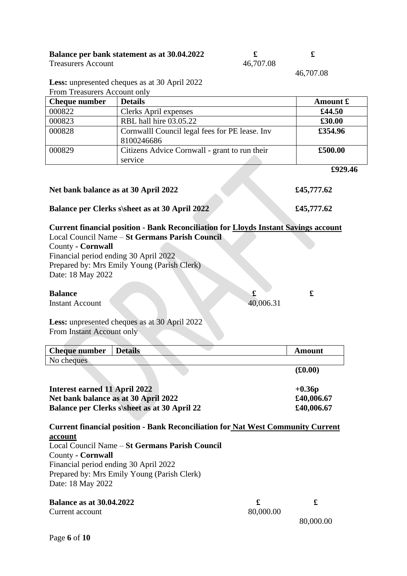| Balance per bank statement as at 30.04.2022 |           |  |
|---------------------------------------------|-----------|--|
| <b>Treasurers Account</b>                   | 46,707.08 |  |

| 46.707.08 |  |
|-----------|--|

46,707.08

**Less:** unpresented cheques as at 30 April 2022

| From Treasurers Account only                             |            |
|----------------------------------------------------------|------------|
| <b>Details</b>                                           | Amount £   |
| Clerks April expenses                                    | £44.50     |
| RBL hall hire 03.05.22                                   | £30.00     |
| Cornwalll Council legal fees for PE lease. Inv           | £354.96    |
| Citizens Advice Cornwall - grant to run their<br>service | £500.00    |
|                                                          | £929.46    |
|                                                          | 8100246686 |

# **Balance per Clerks s\sheet as at 30 April 2022 £45,777.62**

**Current financial position - Bank Reconciliation for Lloyds Instant Savings account** Local Council Name – **St Germans Parish Council**

**Net bank balance as at 30 April 2022 £45,777.62**

County **- Cornwall** Financial period ending 30 April 2022 Prepared by: Mrs Emily Young (Parish Clerk) Date: 18 May 2022

#### **Balance**  $\qquad \qquad$  **£**

Instant Account 40,006.31

**Less:** unpresented cheques as at 30 April 2022 From Instant Account only

| <b>Cheque number</b> | Details |  | Amount  |
|----------------------|---------|--|---------|
| No cheques           |         |  |         |
|                      |         |  | (f0.00) |

| Interest earned 11 April 2022                       | $+0.36p$   |
|-----------------------------------------------------|------------|
| Net bank balance as at 30 April 2022                | £40,006.67 |
| <b>Balance per Clerks s\sheet as at 30 April 22</b> | £40,006.67 |

**Current financial position - Bank Reconciliation for Nat West Community Current account** Local Council Name – **St Germans Parish Council** County **- Cornwall** Financial period ending 30 April 2022 Prepared by: Mrs Emily Young (Parish Clerk) Date: 18 May 2022

| <b>Balance as at 30.04.2022</b> |           |           |
|---------------------------------|-----------|-----------|
| Current account                 | 80,000.00 |           |
|                                 |           | 80,000.00 |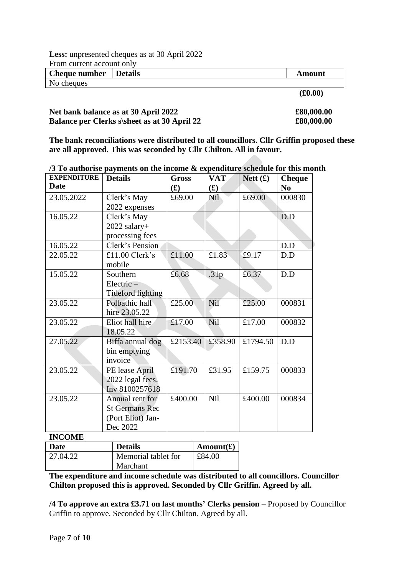**Less:** unpresented cheques as at 30 April 2022 From current account only

| TTOIII CUITUIL ACCOUIIL OIIIV |  |         |  |  |
|-------------------------------|--|---------|--|--|
| Cheque number Details         |  | Amount  |  |  |
| No cheques                    |  |         |  |  |
|                               |  | (0.000) |  |  |

 **(£0.00)**

| Net bank balance as at 30 April 2022                | £80,000.00 |
|-----------------------------------------------------|------------|
| <b>Balance per Clerks s\sheet as at 30 April 22</b> | £80,000.00 |

**The bank reconciliations were distributed to all councillors. Cllr Griffin proposed these are all approved. This was seconded by Cllr Chilton. All in favour.**

**/3 To authorise payments on the income & expenditure schedule for this month**

| <b>EXPENDITURE</b> | <b>Details</b>        | <b>Gross</b>             | <b>VAT</b>     | Nett $(f)$ | <b>Cheque</b>  |
|--------------------|-----------------------|--------------------------|----------------|------------|----------------|
| Date               |                       | $\mathbf{f}(\mathbf{f})$ | $\mathbf{(f)}$ |            | N <sub>0</sub> |
| 23.05.2022         | Clerk's May           | £69.00                   | Nil            | £69.00     | 000830         |
|                    | 2022 expenses         |                          |                |            |                |
| 16.05.22           | Clerk's May           |                          |                |            | D.D            |
|                    | $2022$ salary+        |                          |                |            |                |
|                    | processing fees       |                          |                |            |                |
| 16.05.22           | Clerk's Pension       |                          |                |            | D.D            |
| 22.05.22           | £11.00 Clerk's        | £11.00                   | £1.83          | £9.17      | D.D            |
|                    | mobile                |                          |                |            |                |
| 15.05.22           | Southern              | £6.68                    | .31p           | £6.37      | D.D            |
|                    | Electric-             |                          |                |            |                |
|                    | Tideford lighting     |                          |                |            |                |
| 23.05.22           | Polbathic hall        | £25.00                   | Nil            | £25.00     | 000831         |
|                    | hire 23.05.22         |                          |                |            |                |
| 23.05.22           | Eliot hall hire       | £17.00                   | Nil            | £17.00     | 000832         |
|                    | 18.05.22              |                          |                |            |                |
| 27.05.22           | Biffa annual dog      | £2153.40                 | £358.90        | £1794.50   | D.D            |
|                    | bin emptying          |                          |                |            |                |
|                    | invoice               |                          |                |            |                |
| 23.05.22           | PE lease April        | £191.70                  | £31.95         | £159.75    | 000833         |
|                    | 2022 legal fees.      |                          |                |            |                |
|                    | Inv 8100257618        |                          |                |            |                |
| 23.05.22           | Annual rent for       | £400.00                  | Nil            | £400.00    | 000834         |
|                    | <b>St Germans Rec</b> |                          |                |            |                |
|                    | (Port Eliot) Jan-     |                          |                |            |                |
|                    | Dec 2022              |                          |                |            |                |
| <b>INCOME</b>      |                       |                          |                |            |                |

| ------------- |                     |                    |
|---------------|---------------------|--------------------|
| Date          | <b>Details</b>      | Amount $(\pounds)$ |
| 27.04.22      | Memorial tablet for | £84.00             |
|               | Marchant            |                    |

**The expenditure and income schedule was distributed to all councillors. Councillor Chilton proposed this is approved. Seconded by Cllr Griffin. Agreed by all.**

**/4 To approve an extra £3.71 on last months' Clerks pension** – Proposed by Councillor Griffin to approve. Seconded by Cllr Chilton. Agreed by all.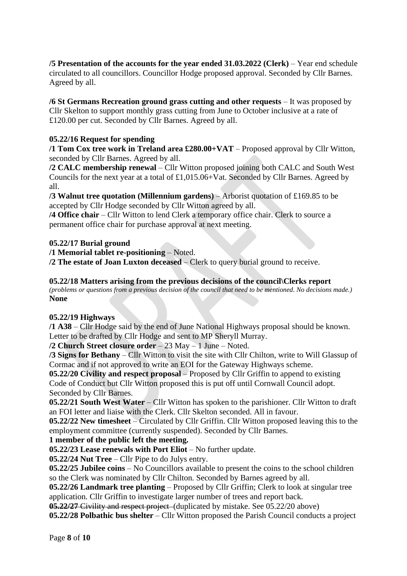**/5 Presentation of the accounts for the year ended 31.03.2022 (Clerk)** – Year end schedule circulated to all councillors. Councillor Hodge proposed approval. Seconded by Cllr Barnes. Agreed by all.

**/6 St Germans Recreation ground grass cutting and other requests** – It was proposed by Cllr Skelton to support monthly grass cutting from June to October inclusive at a rate of £120.00 per cut. Seconded by Cllr Barnes. Agreed by all.

# **05.22/16 Request for spending**

**/1 Tom Cox tree work in Treland area £280.00+VAT** – Proposed approval by Cllr Witton, seconded by Cllr Barnes. Agreed by all.

**/2 CALC membership renewal** – Cllr Witton proposed joining both CALC and South West Councils for the next year at a total of £1,015.06+Vat. Seconded by Cllr Barnes. Agreed by all.

**/3 Walnut tree quotation (Millennium gardens)** – Arborist quotation of £169.85 to be accepted by Cllr Hodge seconded by Cllr Witton agreed by all.

**/4 Office chair** – Cllr Witton to lend Clerk a temporary office chair. Clerk to source a permanent office chair for purchase approval at next meeting.

#### **05.22/17 Burial ground**

**/1 Memorial tablet re-positioning** – Noted.

**/2 The estate of Joan Luxton deceased** – Clerk to query burial ground to receive.

**05.22/18 Matters arising from the previous decisions of the council\Clerks report** *(problems or questions from a previous decision of the council that need to be mentioned. No decisions made.)* **None**

#### **05.22/19 Highways**

**/1 A38** – Cllr Hodge said by the end of June National Highways proposal should be known. Letter to be drafted by Cllr Hodge and sent to MP Sheryll Murray.

**/2 Church Street closure order** – 23 May – 1 June – Noted.

**/3 Signs for Bethany** – Cllr Witton to visit the site with Cllr Chilton, write to Will Glassup of Cormac and if not approved to write an EOI for the Gateway Highways scheme.

**05.22/20 Civility and respect proposal** – Proposed by Cllr Griffin to append to existing Code of Conduct but Cllr Witton proposed this is put off until Cornwall Council adopt. Seconded by Cllr Barnes.

**05.22/21 South West Water** – Cllr Witton has spoken to the parishioner. Cllr Witton to draft an FOI letter and liaise with the Clerk. Cllr Skelton seconded. All in favour.

**05.22/22 New timesheet** – Circulated by Cllr Griffin. Cllr Witton proposed leaving this to the employment committee (currently suspended). Seconded by Cllr Barnes.

# **1 member of the public left the meeting.**

**05.22/23 Lease renewals with Port Eliot** – No further update.

**05.22/24 Nut Tree** – Cllr Pipe to do Julys entry.

**05.22/25 Jubilee coins** – No Councillors available to present the coins to the school children so the Clerk was nominated by Cllr Chilton. Seconded by Barnes agreed by all.

**05.22/26 Landmark tree planting** – Proposed by Cllr Griffin; Clerk to look at singular tree application. Cllr Griffin to investigate larger number of trees and report back.

**05.22/27** Civility and respect project (duplicated by mistake. See 05.22/20 above)

**05.22/28 Polbathic bus shelter** – Cllr Witton proposed the Parish Council conducts a project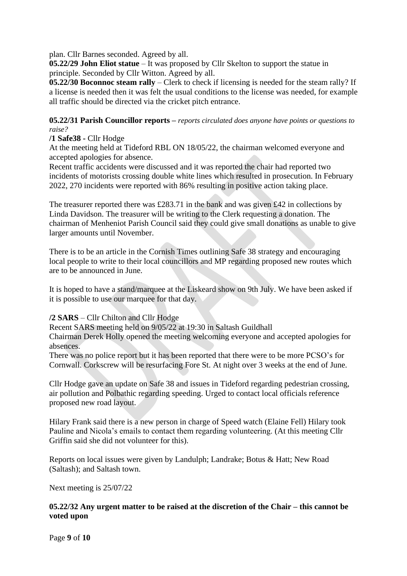plan. Cllr Barnes seconded. Agreed by all.

**05.22/29 John Eliot statue** – It was proposed by Cllr Skelton to support the statue in principle. Seconded by Cllr Witton. Agreed by all.

**05.22/30 Boconnoc steam rally** – Clerk to check if licensing is needed for the steam rally? If a license is needed then it was felt the usual conditions to the license was needed, for example all traffic should be directed via the cricket pitch entrance.

## **05.22/31 Parish Councillor reports –** *reports circulated does anyone have points or questions to raise?*

#### **/1 Safe38 -** Cllr Hodge

At the meeting held at Tideford RBL ON 18/05/22, the chairman welcomed everyone and accepted apologies for absence.

Recent traffic accidents were discussed and it was reported the chair had reported two incidents of motorists crossing double white lines which resulted in prosecution. In February 2022, 270 incidents were reported with 86% resulting in positive action taking place.

The treasurer reported there was £283.71 in the bank and was given £42 in collections by Linda Davidson. The treasurer will be writing to the Clerk requesting a donation. The chairman of Menheniot Parish Council said they could give small donations as unable to give larger amounts until November.

There is to be an article in the Cornish Times outlining Safe 38 strategy and encouraging local people to write to their local councillors and MP regarding proposed new routes which are to be announced in June.

It is hoped to have a stand/marquee at the Liskeard show on 9th July. We have been asked if it is possible to use our marquee for that day.

# **/2 SARS** – Cllr Chilton and Cllr Hodge

Recent SARS meeting held on 9/05/22 at 19:30 in Saltash Guildhall

Chairman Derek Holly opened the meeting welcoming everyone and accepted apologies for absences.

There was no police report but it has been reported that there were to be more PCSO's for Cornwall. Corkscrew will be resurfacing Fore St. At night over 3 weeks at the end of June.

Cllr Hodge gave an update on Safe 38 and issues in Tideford regarding pedestrian crossing, air pollution and Polbathic regarding speeding. Urged to contact local officials reference proposed new road layout.

Hilary Frank said there is a new person in charge of Speed watch (Elaine Fell) Hilary took Pauline and Nicola's emails to contact them regarding volunteering. (At this meeting Cllr Griffin said she did not volunteer for this).

Reports on local issues were given by Landulph; Landrake; Botus & Hatt; New Road (Saltash); and Saltash town.

Next meeting is 25/07/22

## **05.22/32 Any urgent matter to be raised at the discretion of the Chair – this cannot be voted upon**

Page **9** of **10**